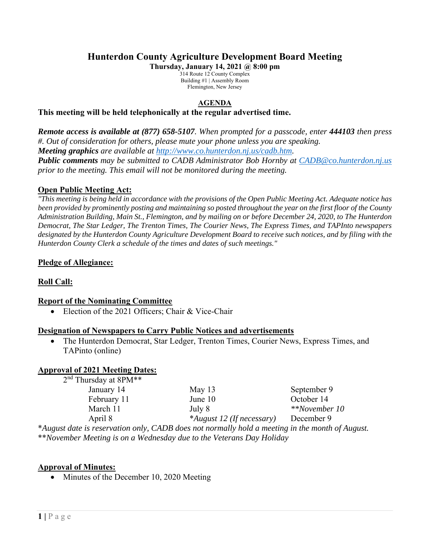# **Hunterdon County Agriculture Development Board Meeting**

**Thursday, January 14, 2021 @ 8:00 pm** 

314 Route 12 County Complex Building #1 | Assembly Room Flemington, New Jersey

#### **AGENDA**

#### **This meeting will be held telephonically at the regular advertised time.**

*Remote access is available at (877) 658-5107. When prompted for a passcode, enter 444103 then press #. Out of consideration for others, please mute your phone unless you are speaking. Meeting graphics are available at http://www.co.hunterdon.nj.us/cadb.htm. Public comments may be submitted to CADB Administrator Bob Hornby at CADB@co.hunterdon.nj.us prior to the meeting. This email will not be monitored during the meeting.* 

### **Open Public Meeting Act:**

*"This meeting is being held in accordance with the provisions of the Open Public Meeting Act. Adequate notice has been provided by prominently posting and maintaining so posted throughout the year on the first floor of the County Administration Building, Main St., Flemington, and by mailing on or before December 24, 2020, to The Hunterdon Democrat, The Star Ledger, The Trenton Times, The Courier News, The Express Times, and TAPInto newspapers designated by the Hunterdon County Agriculture Development Board to receive such notices, and by filing with the Hunterdon County Clerk a schedule of the times and dates of such meetings."* 

### **Pledge of Allegiance:**

# **Roll Call:**

#### **Report of the Nominating Committee**

• Election of the 2021 Officers; Chair & Vice-Chair

#### **Designation of Newspapers to Carry Public Notices and advertisements**

 The Hunterdon Democrat, Star Ledger, Trenton Times, Courier News, Express Times, and TAPinto (online)

#### **Approval of 2021 Meeting Dates:**

| $2nd$ Thursday at 8PM**                                                                                                                                                                                                                                   |                           |               |
|-----------------------------------------------------------------------------------------------------------------------------------------------------------------------------------------------------------------------------------------------------------|---------------------------|---------------|
| January 14                                                                                                                                                                                                                                                | May $13$                  | September 9   |
| February 11                                                                                                                                                                                                                                               | June 10                   | October 14    |
| March 11                                                                                                                                                                                                                                                  | July 8                    | **November 10 |
| April 8                                                                                                                                                                                                                                                   | *August 12 (If necessary) | December 9    |
| $\mathbf{r} = \mathbf{r}$ , and the contract of the contract of the contract of the contract of the contract of the contract of the contract of the contract of the contract of the contract of the contract of the contract of the con<br>$\alpha$ inn 1 |                           |               |

\**August date is reservation only, CADB does not normally hold a meeting in the month of August.*  \*\**November Meeting is on a Wednesday due to the Veterans Day Holiday* 

# **Approval of Minutes:**

• Minutes of the December 10, 2020 Meeting